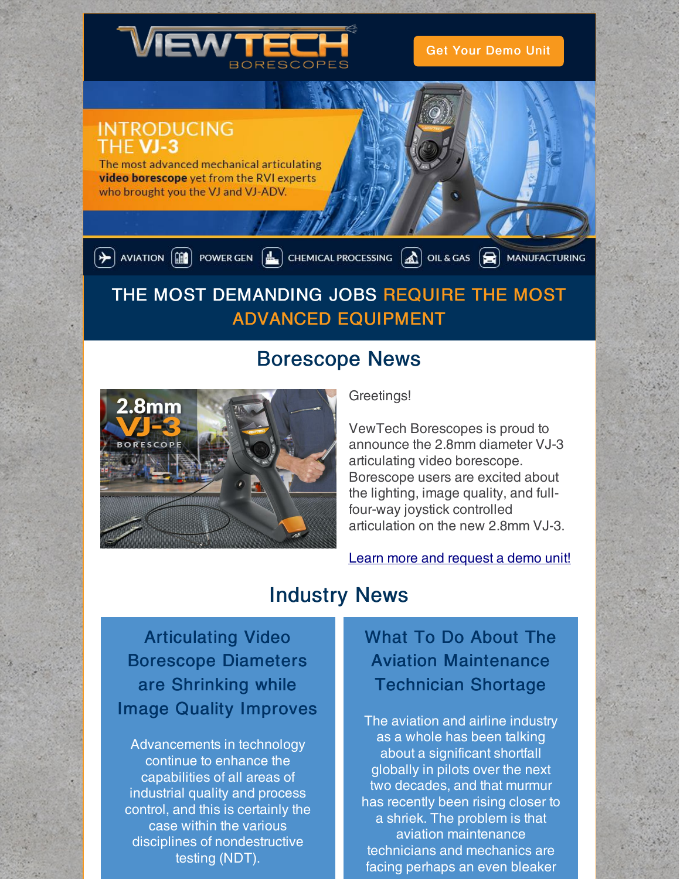

Get Your [Demo](https://www.viewtech.com/borescope-demo-offer/?utm_source=newsletter&utm_medium=email&utm_campaign=newsletter0919) Unit

### **INTRODUCING** THE VJ-3

The most advanced mechanical articulating video borescope yet from the RVI experts who brought you the VJ and VJ-ADV.

 $\left(\frac{1}{\sqrt{2}}\right)$  aviation  $\left(\frac{1}{\ln 2}\right)$  power gen  $\left(\frac{1}{\ln 2}\right)$  chemical processing  $\left(\frac{1}{\ln 2}\right)$  oil & gas  $\left(\frac{1}{\ln 2}\right)$  manufacturing

# THE MOST DEMANDING JOBS REQUIRE THE MOST ADVANCED EQUIPMENT

# Borescope News



Greetings!

VewTech Borescopes is proud to announce the 2.8mm diameter VJ-3 articulating video borescope. Borescope users are excited about the lighting, image quality, and fullfour-way joystick controlled articulation on the new 2.8mm VJ-3.

Learn more and [request](https://www.viewtech.com/borescopes/2-8mm-borescope/?utm_source=newsletter&utm_medium=email&utm_campaign=newsletter0919) a demo unit!

## Industry News

Articulating Video Borescope Diameters are Shrinking while Image Quality Improves

Advancements in technology continue to enhance the capabilities of all areas of industrial quality and process control, and this is certainly the case within the various disciplines of nondestructive testing (NDT).

## What To Do About The Aviation Maintenance Technician Shortage

The aviation and airline industry as a whole has been talking about a significant shortfall globally in pilots over the next two decades, and that murmur has recently been rising closer to a shriek. The problem is that aviation maintenance technicians and mechanics are facing perhaps an even bleaker